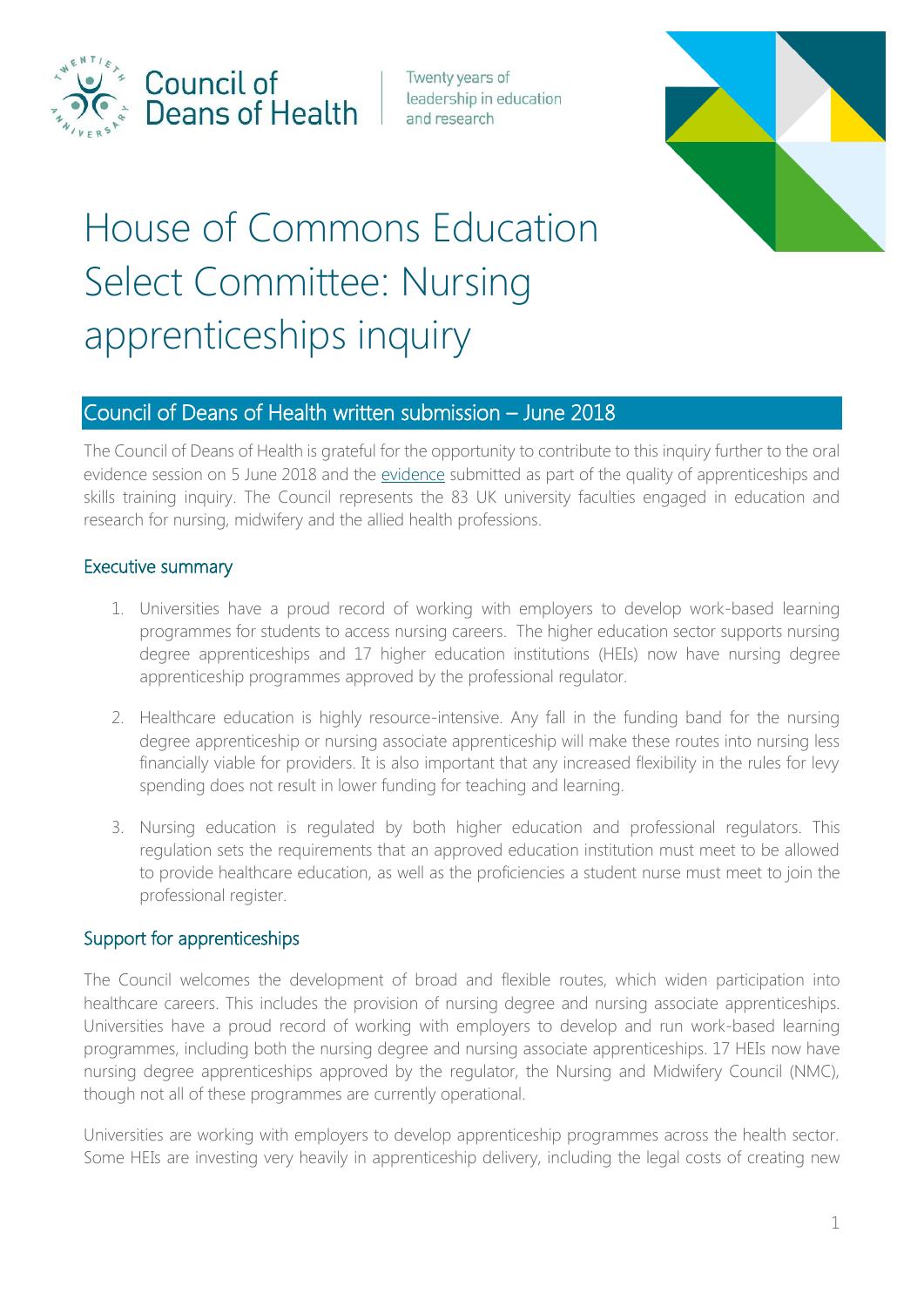

Council of Deans of Health

Twenty years of leadership in education and research



# House of Commons Education Select Committee: Nursing apprenticeships inquiry

# Council of Deans of Health written submission – June 2018

The Council of Deans of Health is grateful for the opportunity to contribute to this inquiry further to the oral evidence session on 5 June 2018 and the [evidence](http://data.parliament.uk/writtenevidence/committeeevidence.svc/evidencedocument/education-committee/quality-of-apprenticeships-and-skills-training/written/75913.pdf) submitted as part of the quality of apprenticeships and skills training inquiry. The Council represents the 83 UK university faculties engaged in education and research for nursing, midwifery and the allied health professions.

#### Executive summary

- 1. Universities have a proud record of working with employers to develop work-based learning programmes for students to access nursing careers. The higher education sector supports nursing degree apprenticeships and 17 higher education institutions (HEIs) now have nursing degree apprenticeship programmes approved by the professional regulator.
- 2. Healthcare education is highly resource-intensive. Any fall in the funding band for the nursing degree apprenticeship or nursing associate apprenticeship will make these routes into nursing less financially viable for providers. It is also important that any increased flexibility in the rules for levy spending does not result in lower funding for teaching and learning.
- 3. Nursing education is regulated by both higher education and professional regulators. This regulation sets the requirements that an approved education institution must meet to be allowed to provide healthcare education, as well as the proficiencies a student nurse must meet to join the professional register.

### Support for apprenticeships

The Council welcomes the development of broad and flexible routes, which widen participation into healthcare careers. This includes the provision of nursing degree and nursing associate apprenticeships. Universities have a proud record of working with employers to develop and run work-based learning programmes, including both the nursing degree and nursing associate apprenticeships. 17 HEIs now have nursing degree apprenticeships approved by the regulator, the Nursing and Midwifery Council (NMC), though not all of these programmes are currently operational.

Universities are working with employers to develop apprenticeship programmes across the health sector. Some HEIs are investing very heavily in apprenticeship delivery, including the legal costs of creating new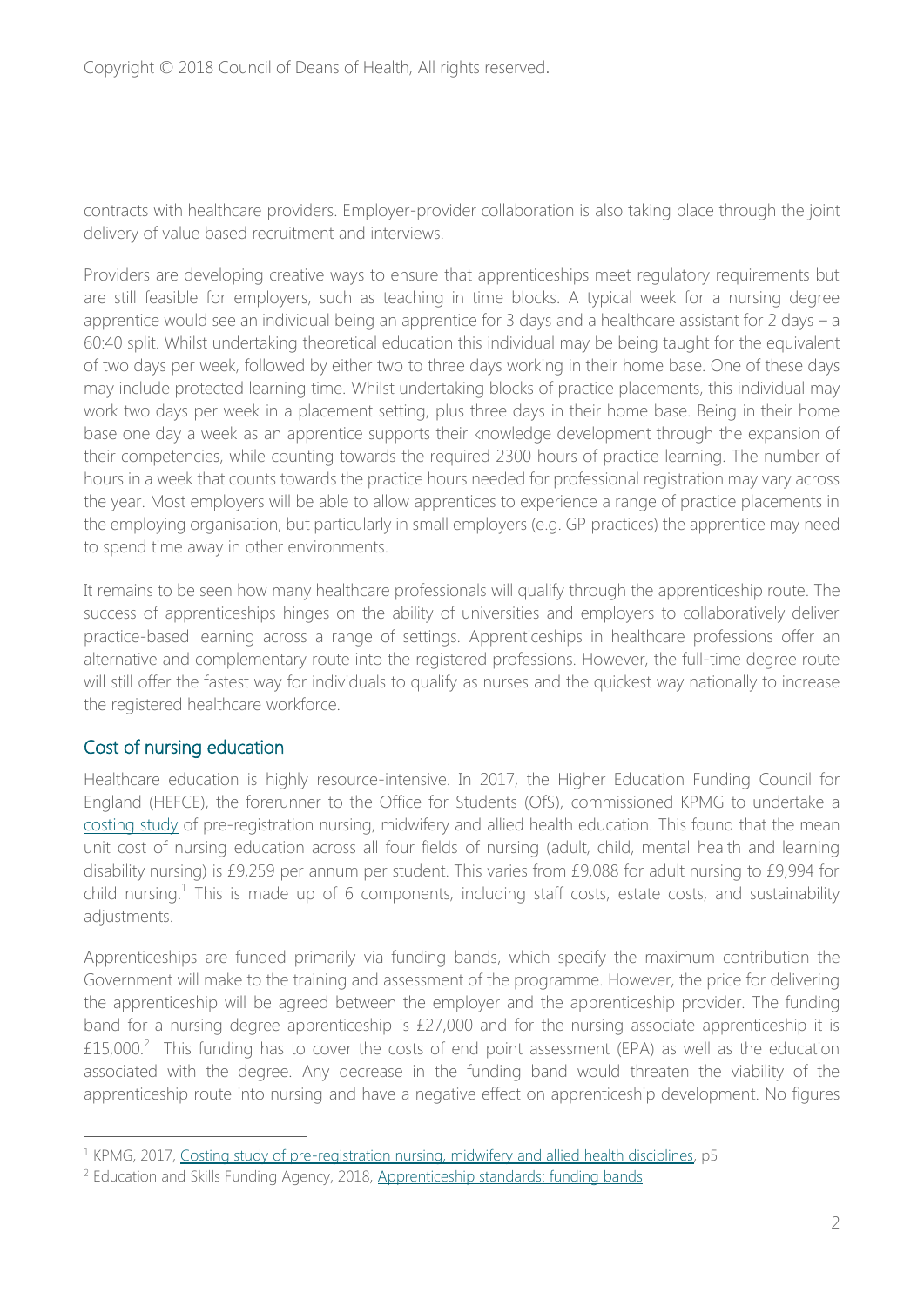contracts with healthcare providers. Employer-provider collaboration is also taking place through the joint delivery of value based recruitment and interviews.

Providers are developing creative ways to ensure that apprenticeships meet regulatory requirements but are still feasible for employers, such as teaching in time blocks. A typical week for a nursing degree apprentice would see an individual being an apprentice for 3 days and a healthcare assistant for 2 days – a 60:40 split. Whilst undertaking theoretical education this individual may be being taught for the equivalent of two days per week, followed by either two to three days working in their home base. One of these days may include protected learning time. Whilst undertaking blocks of practice placements, this individual may work two days per week in a placement setting, plus three days in their home base. Being in their home base one day a week as an apprentice supports their knowledge development through the expansion of their competencies, while counting towards the required 2300 hours of practice learning. The number of hours in a week that counts towards the practice hours needed for professional registration may vary across the year. Most employers will be able to allow apprentices to experience a range of practice placements in the employing organisation, but particularly in small employers (e.g. GP practices) the apprentice may need to spend time away in other environments.

It remains to be seen how many healthcare professionals will qualify through the apprenticeship route. The success of apprenticeships hinges on the ability of universities and employers to collaboratively deliver practice-based learning across a range of settings. Apprenticeships in healthcare professions offer an alternative and complementary route into the registered professions. However, the full-time degree route will still offer the fastest way for individuals to qualify as nurses and the quickest way nationally to increase the registered healthcare workforce.

### Cost of nursing education

 $\overline{a}$ 

Healthcare education is highly resource-intensive. In 2017, the Higher Education Funding Council for England (HEFCE), the forerunner to the Office for Students (OfS), commissioned KPMG to undertake a [costing study](http://www.hefce.ac.uk/media/HEFCE,2014/Content/Pubs/Independentresearch/2017/NMAH,Costing,study/NMAH_Costing_study.pdf) of pre-registration nursing, midwifery and allied health education. This found that the mean unit cost of nursing education across all four fields of nursing (adult, child, mental health and learning disability nursing) is £9,259 per annum per student. This varies from £9,088 for adult nursing to £9,994 for child nursing.<sup>1</sup> This is made up of 6 components, including staff costs, estate costs, and sustainability adjustments.

Apprenticeships are funded primarily via funding bands, which specify the maximum contribution the Government will make to the training and assessment of the programme. However, the price for delivering the apprenticeship will be agreed between the employer and the apprenticeship provider. The funding band for a nursing degree apprenticeship is £27,000 and for the nursing associate apprenticeship it is  $£15,000.<sup>2</sup>$  This funding has to cover the costs of end point assessment (EPA) as well as the education associated with the degree. Any decrease in the funding band would threaten the viability of the apprenticeship route into nursing and have a negative effect on apprenticeship development. No figures

<sup>&</sup>lt;sup>1</sup> KPMG, 2017, [Costing study of pre-registration nursing, midwifery and allied health disciplines,](http://www.hefce.ac.uk/media/HEFCE,2014/Content/Pubs/Independentresearch/2017/NMAH,Costing,study/NMAH_Costing_study.pdf) p5

<sup>&</sup>lt;sup>2</sup> Education and Skills Funding Agency, 2018, [Apprenticeship standards: funding bands](https://www.gov.uk/government/uploads/system/uploads/attachment_data/file/712941/Apprenticeship_Standards_Funding_Bands.ods)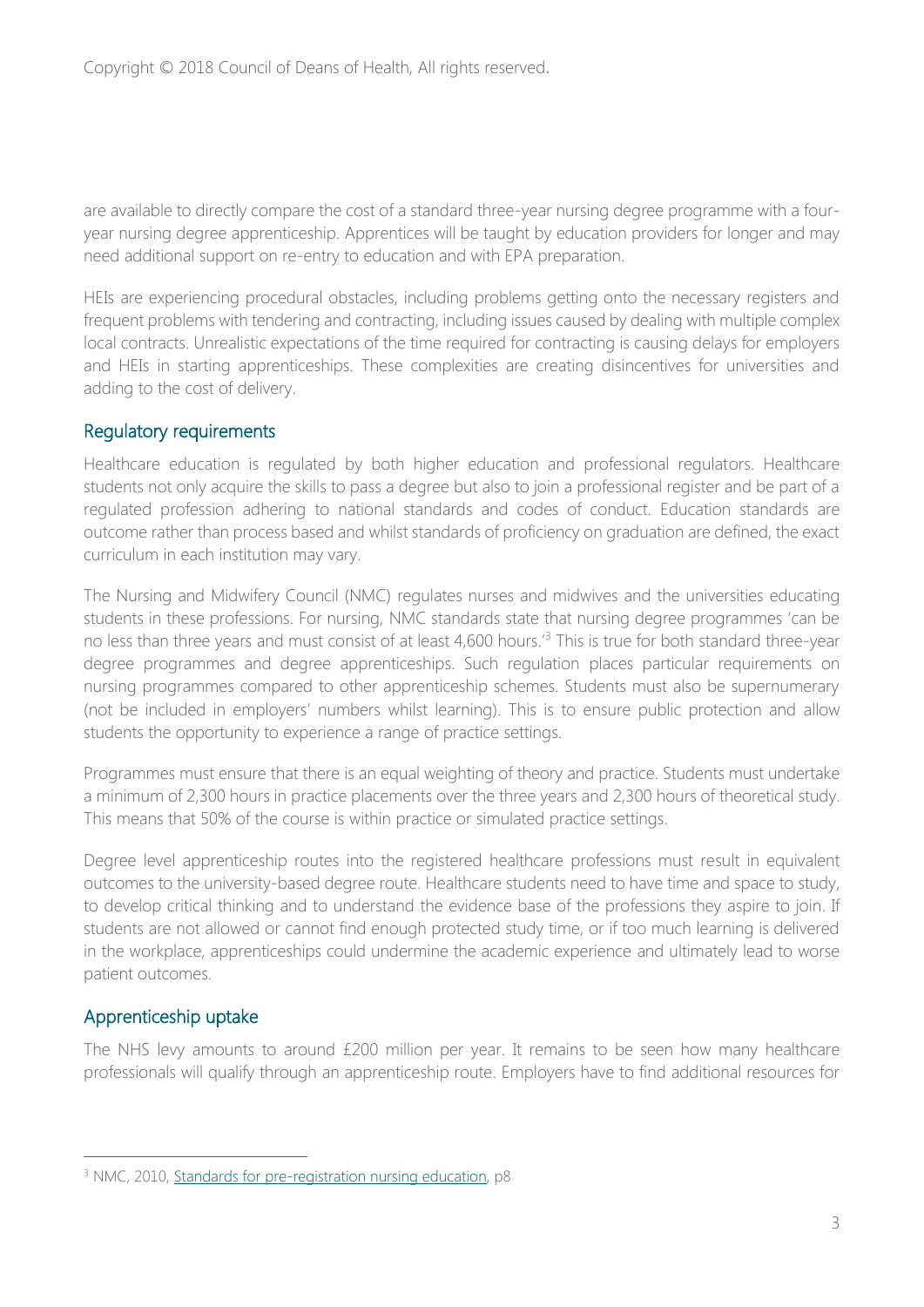are available to directly compare the cost of a standard three-year nursing degree programme with a fouryear nursing degree apprenticeship. Apprentices will be taught by education providers for longer and may need additional support on re-entry to education and with EPA preparation.

HEIs are experiencing procedural obstacles, including problems getting onto the necessary registers and frequent problems with tendering and contracting, including issues caused by dealing with multiple complex local contracts. Unrealistic expectations of the time required for contracting is causing delays for employers and HEIs in starting apprenticeships. These complexities are creating disincentives for universities and adding to the cost of delivery.

#### Regulatory requirements

Healthcare education is regulated by both higher education and professional regulators. Healthcare students not only acquire the skills to pass a degree but also to join a professional register and be part of a regulated profession adhering to national standards and codes of conduct. Education standards are outcome rather than process based and whilst standards of proficiency on graduation are defined, the exact curriculum in each institution may vary.

The Nursing and Midwifery Council (NMC) regulates nurses and midwives and the universities educating students in these professions. For nursing, NMC standards state that nursing degree programmes 'can be no less than three years and must consist of at least 4,600 hours.<sup>3</sup> This is true for both standard three-year degree programmes and degree apprenticeships. Such regulation places particular requirements on nursing programmes compared to other apprenticeship schemes. Students must also be supernumerary (not be included in employers' numbers whilst learning). This is to ensure public protection and allow students the opportunity to experience a range of practice settings.

Programmes must ensure that there is an equal weighting of theory and practice. Students must undertake a minimum of 2,300 hours in practice placements over the three years and 2,300 hours of theoretical study. This means that 50% of the course is within practice or simulated practice settings.

Degree level apprenticeship routes into the registered healthcare professions must result in equivalent outcomes to the university-based degree route. Healthcare students need to have time and space to study, to develop critical thinking and to understand the evidence base of the professions they aspire to join. If students are not allowed or cannot find enough protected study time, or if too much learning is delivered in the workplace, apprenticeships could undermine the academic experience and ultimately lead to worse patient outcomes.

### Apprenticeship uptake

 $\overline{a}$ 

The NHS levy amounts to around £200 million per year. It remains to be seen how many healthcare professionals will qualify through an apprenticeship route. Employers have to find additional resources for

<sup>&</sup>lt;sup>3</sup> NMC, 2010, [Standards for pre-registration nursing education,](https://www.nmc.org.uk/globalassets/sitedocuments/standards/nmc-standards-for-pre-registration-nursing-education.pdf) p8